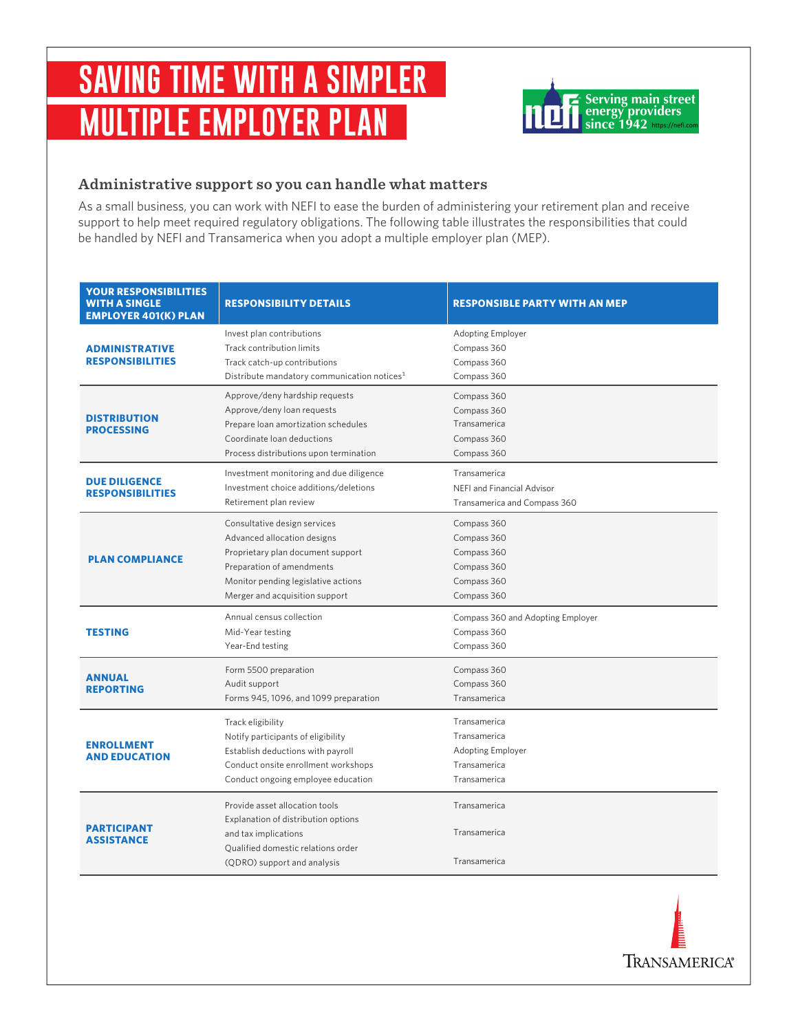# **SAVING TIME WITH A SIMPLER MULTIPLE EMPLOYER PLAN**



### **Administrative support so you can handle what matters**

As a small business, you can work with NEFI to ease the burden of administering your retirement plan and receive support to help meet required regulatory obligations. The following table illustrates the responsibilities that could be handled by NEFI and Transamerica when you adopt a multiple employer plan (MEP).

| <b>YOUR RESPONSIBILITIES</b><br><b>WITH A SINGLE</b><br><b>EMPLOYER 401(K) PLAN</b> | <b>RESPONSIBILITY DETAILS</b>                                                                                                                                                                          | <b>RESPONSIBLE PARTY WITH AN MEP</b>                                                     |
|-------------------------------------------------------------------------------------|--------------------------------------------------------------------------------------------------------------------------------------------------------------------------------------------------------|------------------------------------------------------------------------------------------|
| <b>ADMINISTRATIVE</b><br><b>RESPONSIBILITIES</b>                                    | Invest plan contributions<br>Track contribution limits<br>Track catch-up contributions<br>Distribute mandatory communication notices <sup>1</sup>                                                      | <b>Adopting Employer</b><br>Compass 360<br>Compass 360<br>Compass 360                    |
| <b>DISTRIBUTION</b><br><b>PROCESSING</b>                                            | Approve/deny hardship requests<br>Approve/deny loan requests<br>Prepare loan amortization schedules<br>Coordinate loan deductions<br>Process distributions upon termination                            | Compass 360<br>Compass 360<br>Transamerica<br>Compass 360<br>Compass 360                 |
| <b>DUE DILIGENCE</b><br><b>RESPONSIBILITIES</b>                                     | Investment monitoring and due diligence<br>Investment choice additions/deletions<br>Retirement plan review                                                                                             | Transamerica<br>NEFI and Financial Advisor<br>Transamerica and Compass 360               |
| <b>PLAN COMPLIANCE</b>                                                              | Consultative design services<br>Advanced allocation designs<br>Proprietary plan document support<br>Preparation of amendments<br>Monitor pending legislative actions<br>Merger and acquisition support | Compass 360<br>Compass 360<br>Compass 360<br>Compass 360<br>Compass 360<br>Compass 360   |
| <b>TESTING</b>                                                                      | Annual census collection<br>Mid-Year testing<br>Year-End testing                                                                                                                                       | Compass 360 and Adopting Employer<br>Compass 360<br>Compass 360                          |
| <b>ANNUAL</b><br><b>REPORTING</b>                                                   | Form 5500 preparation<br>Audit support<br>Forms 945, 1096, and 1099 preparation                                                                                                                        | Compass 360<br>Compass 360<br>Transamerica                                               |
| <b>ENROLLMENT</b><br><b>AND EDUCATION</b>                                           | Track eligibility<br>Notify participants of eligibility<br>Establish deductions with payroll<br>Conduct onsite enrollment workshops<br>Conduct ongoing employee education                              | Transamerica<br>Transamerica<br><b>Adopting Employer</b><br>Transamerica<br>Transamerica |
| <b>PARTICIPANT</b><br><b>ASSISTANCE</b>                                             | Provide asset allocation tools<br>Explanation of distribution options<br>and tax implications<br>Qualified domestic relations order<br>(QDRO) support and analysis                                     | Transamerica<br>Transamerica<br>Transamerica                                             |